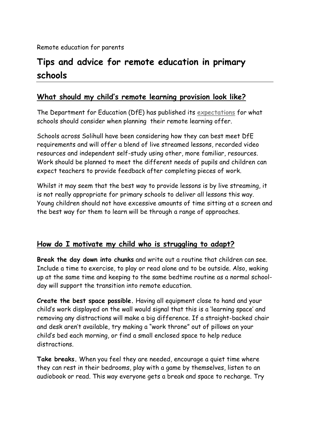# **Tips and advice for remote education in primary schools**

## **What should my child's remote learning provision look like?**

The Department for Education (DfE) has published its **[expectations](https://www.gov.uk/government/publications/actions-for-schools-during-the-coronavirus-outbreak/guidance-for-full-opening-schools#res)** for what schools should consider when planning their remote learning offer.

Schools across Solihull have been considering how they can best meet DfE requirements and will offer a blend of live streamed lessons, recorded video resources and independent self-study using other, more familiar, resources. Work should be planned to meet the different needs of pupils and children can expect teachers to provide feedback after completing pieces of work.

Whilst it may seem that the best way to provide lessons is by live streaming, it is not really appropriate for primary schools to deliver all lessons this way. Young children should not have excessive amounts of time sitting at a screen and the best way for them to learn will be through a range of approaches.

#### **How do I motivate my child who is struggling to adapt?**

**Break the day down into chunks** and write out a routine that children can see. Include a time to exercise, to play or read alone and to be outside. Also, waking up at the same time and keeping to the same bedtime routine as a normal schoolday will support the transition into remote education.

**Create the best space possible.** Having all equipment close to hand and your child's work displayed on the wall would signal that this is a 'learning space' and removing any distractions will make a big difference. If a straight-backed chair and desk aren't available, try making a "work throne" out of pillows on your child's bed each morning, or find a small enclosed space to help reduce distractions.

**Take breaks.** When you feel they are needed, encourage a quiet time where they can rest in their bedrooms, play with a game by themselves, listen to an audiobook or read. This way everyone gets a break and space to recharge. Try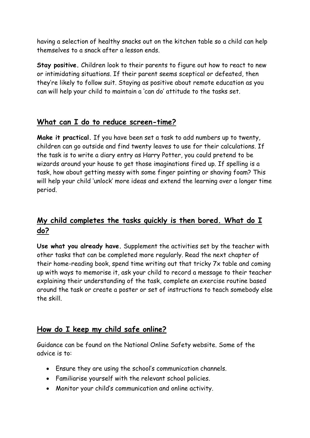having a selection of healthy snacks out on the kitchen table so a child can help themselves to a snack after a lesson ends.

**Stay positive.** Children look to their parents to figure out how to react to new or intimidating situations. If their parent seems sceptical or defeated, then they're likely to follow suit. Staying as positive about remote education as you can will help your child to maintain a 'can do' attitude to the tasks set.

#### **What can I do to reduce screen-time?**

**Make it practical.** If you have been set a task to add numbers up to twenty, children can go outside and find twenty leaves to use for their calculations. If the task is to write a diary entry as Harry Potter, you could pretend to be wizards around your house to get those imaginations fired up. If spelling is a task, how about getting messy with some finger painting or shaving foam? This will help your child 'unlock' more ideas and extend the learning over a longer time period.

## **My child completes the tasks quickly is then bored. What do I do?**

**Use what you already have.** Supplement the activities set by the teacher with other tasks that can be completed more regularly. Read the next chapter of their home-reading book, spend time writing out that tricky 7x table and coming up with ways to memorise it, ask your child to record a message to their teacher explaining their understanding of the task, complete an exercise routine based around the task or create a poster or set of instructions to teach somebody else the skill.

#### **How do I keep my child safe online?**

Guidance can be found on the National Online Safety website. Some of the advice is to:

- Ensure they are using the school's communication channels.
- Familiarise yourself with the relevant school policies.
- Monitor your child's communication and online activity.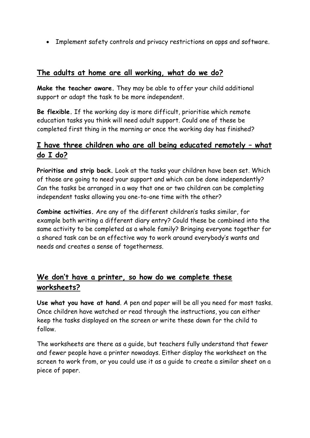Implement safety controls and privacy restrictions on apps and software.

#### **The adults at home are all working, what do we do?**

**Make the teacher aware.** They may be able to offer your child additional support or adapt the task to be more independent.

**Be flexible.** If the working day is more difficult, prioritise which remote education tasks you think will need adult support. Could one of these be completed first thing in the morning or once the working day has finished?

## **I have three children who are all being educated remotely – what do I do?**

**Prioritise and strip back.** Look at the tasks your children have been set. Which of those are going to need your support and which can be done independently? Can the tasks be arranged in a way that one or two children can be completing independent tasks allowing you one-to-one time with the other?

**Combine activities.** Are any of the different children's tasks similar, for example both writing a different diary entry? Could these be combined into the same activity to be completed as a whole family? Bringing everyone together for a shared task can be an effective way to work around everybody's wants and needs and creates a sense of togetherness.

## **We don't have a printer, so how do we complete these worksheets?**

**Use what you have at hand**. A pen and paper will be all you need for most tasks. Once children have watched or read through the instructions, you can either keep the tasks displayed on the screen or write these down for the child to follow.

The worksheets are there as a guide, but teachers fully understand that fewer and fewer people have a printer nowadays. Either display the worksheet on the screen to work from, or you could use it as a guide to create a similar sheet on a piece of paper.